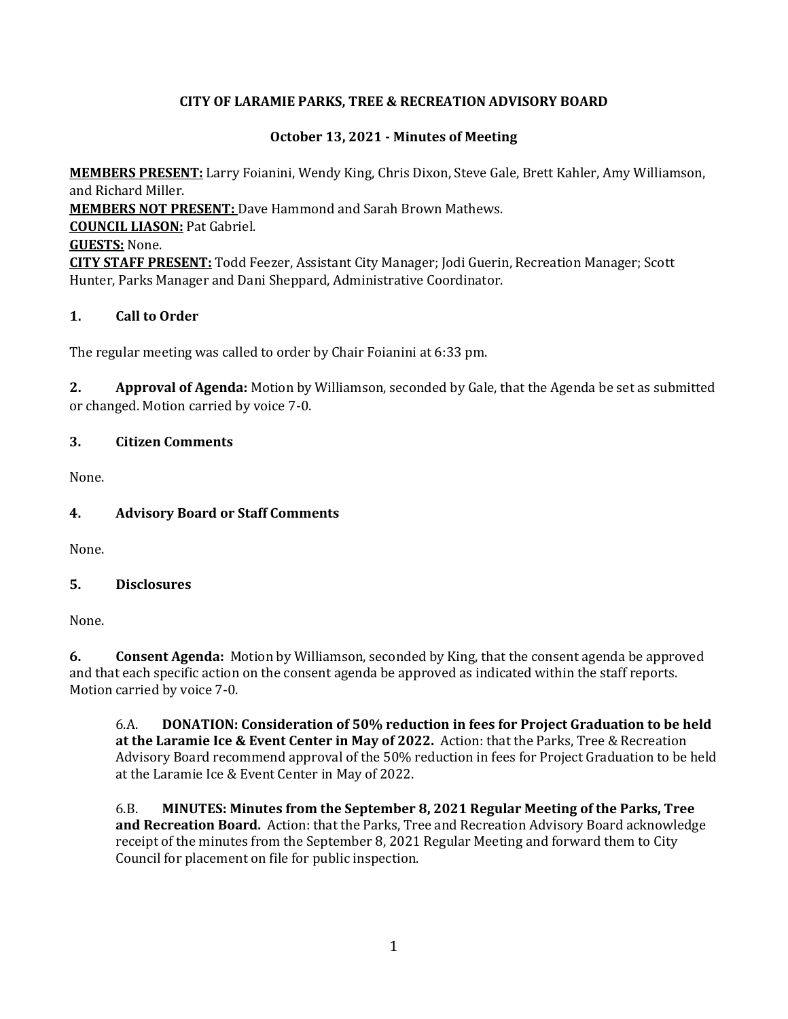## **CITY OF LARAMIE PARKS, TREE & RECREATION ADVISORY BOARD**

## **October 13, 2021 - Minutes of Meeting**

**MEMBERS PRESENT:** Larry Foianini, Wendy King, Chris Dixon, Steve Gale, Brett Kahler, Amy Williamson, and Richard Miller. **MEMBERS NOT PRESENT:** Dave Hammond and Sarah Brown Mathews. **COUNCIL LIASON:** Pat Gabriel. **GUESTS:** None. **CITY STAFF PRESENT:** Todd Feezer, Assistant City Manager; Jodi Guerin, Recreation Manager; Scott Hunter, Parks Manager and Dani Sheppard, Administrative Coordinator.

#### **1. Call to Order**

The regular meeting was called to order by Chair Foianini at 6:33 pm.

**2. Approval of Agenda:** Motion by Williamson, seconded by Gale, that the Agenda be set as submitted or changed. Motion carried by voice 7-0.

## **3. Citizen Comments**

None.

# **4. Advisory Board or Staff Comments**

None.

#### **5. Disclosures**

None.

**6. Consent Agenda:** Motion by Williamson, seconded by King, that the consent agenda be approved and that each specific action on the consent agenda be approved as indicated within the staff reports. Motion carried by voice 7-0.

6.A. **DONATION: Consideration of 50% reduction in fees for Project Graduation to be held at the Laramie Ice & Event Center in May of 2022.** Action: that the Parks, Tree & Recreation Advisory Board recommend approval of the 50% reduction in fees for Project Graduation to be held at the Laramie Ice & Event Center in May of 2022.

6.B. **MINUTES: Minutes from the September 8, 2021 Regular Meeting of the Parks, Tree and Recreation Board.** Action: that the Parks, Tree and Recreation Advisory Board acknowledge receipt of the minutes from the September 8, 2021 Regular Meeting and forward them to City Council for placement on file for public inspection.